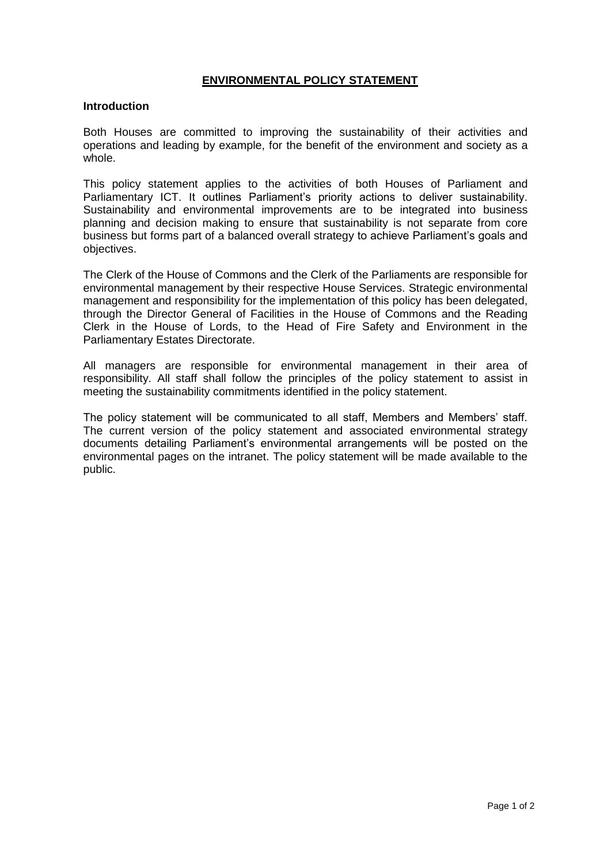## **ENVIRONMENTAL POLICY STATEMENT**

## **Introduction**

Both Houses are committed to improving the sustainability of their activities and operations and leading by example, for the benefit of the environment and society as a whole.

This policy statement applies to the activities of both Houses of Parliament and Parliamentary ICT. It outlines Parliament's priority actions to deliver sustainability. Sustainability and environmental improvements are to be integrated into business planning and decision making to ensure that sustainability is not separate from core business but forms part of a balanced overall strategy to achieve Parliament's goals and objectives.

The Clerk of the House of Commons and the Clerk of the Parliaments are responsible for environmental management by their respective House Services. Strategic environmental management and responsibility for the implementation of this policy has been delegated, through the Director General of Facilities in the House of Commons and the Reading Clerk in the House of Lords, to the Head of Fire Safety and Environment in the Parliamentary Estates Directorate.

All managers are responsible for environmental management in their area of responsibility. All staff shall follow the principles of the policy statement to assist in meeting the sustainability commitments identified in the policy statement.

The policy statement will be communicated to all staff, Members and Members' staff. The current version of the policy statement and associated environmental strategy documents detailing Parliament's environmental arrangements will be posted on the environmental pages on the intranet. The policy statement will be made available to the public.